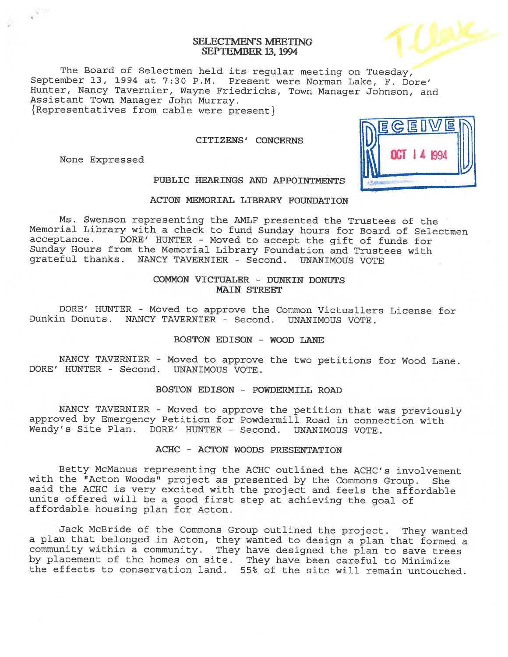## SELECTMEN'S MEETING SEPTEMBER 13, 1994

The Board of Selectmen held its regular meeting on Tuesday, September 13, <sup>1994</sup> at 7:30 P.M. Present were Norman Lake, F. Dore' Hunter, Nancy Tavernier, Wayne Friedrichs, Town Manager Johnson, and<br>Assistant Town Manager John Murray.  ${Representatives from cable were present}$ 

#### CITIZENS' CONCERNS

None Expressed



PUBLIC HEARINGS AND APPOINTMENTS

## ACTON MEMORIAL LIBRARY FOUNDATION

Ms. Swenson representing the AMLF presented the Trustees of the Memorial Library with a check to fund Sunday hours for Board of Selectmen acceptance. DORE' HUNTER - Moved to accept the gift of funds for DORE' HUNTER - Moved to accept the gift of funds for Sunday Hours from the Memorial Library Foundation and Trustees with grateful thanks. NANCY TAVERNIER - Second. UNANIMOUS VOTE

## COMMON VICTUALER - DUNKIN DONUTS MAIN STREET

DORE' HUNTER - Moved to approve the Common Victuallers License for Dunkin Donuts. NANCY TAVERNIER - Second. UNANIMOUS VOTE.

BOSTON EDISON - WOOD LANE

NANCY TAVERNIER - Moved to approve the two petitions for Wood Lane. DORE' HUNTER - Second. UNANIMOUS VOTE.

### BOSTON EDISON - POWDERNILL ROAD

NANCY TAVERNIER - Moved to approve the petition that was previously approved by Emergency Petition for Powdermill Road in connection with Wendy's Site Plan. DORE' HUNTER - Second. UNANIMOUS VOTE.

## ACHC - ACTON WOODS PRESENTATION

Betty McManus representing the ACHC outlined the ACHC's involvement with the "Acton Woods" project as presented by the Commons Group. She said the ACHC is very excited with the project and feels the affordable units offered will be <sup>a</sup> good first step at achieving the goa<sup>l</sup> of affordable housing <sup>p</sup>lan for Acton.

Jack McBride of the Commons Group outlined the project. They wanted <sup>a</sup> <sup>p</sup>lan that belonged in Acton, they wanted to design <sup>a</sup> <sup>p</sup>lan that formed <sup>a</sup> community within <sup>a</sup> community. They have designed the <sup>p</sup>lan to save trees by <sup>p</sup>lacement of the homes on site. They have been careful to Minimize the effects to conservation land. 55% of the site will remain untouched.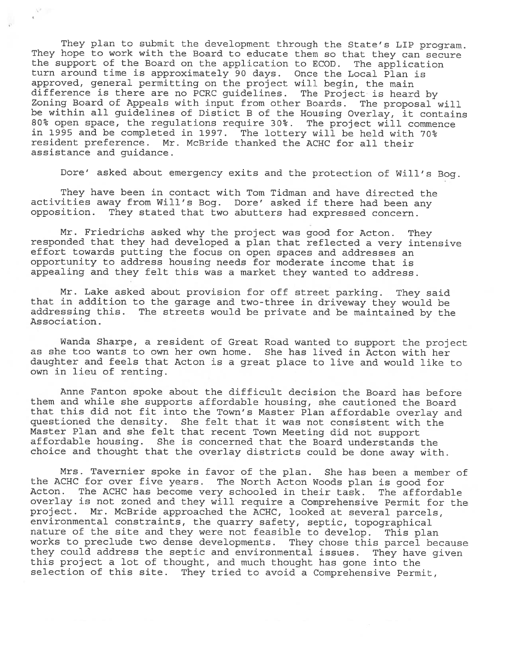They plan to submit the development through the State's LIP program. They hope to work with the Board to educate them so that they can secure the support of the Board on the application to ECOD. The application the support of the Board on the application to ECOD. turn around time is approximately 90 days. Once the Local Plan is approved, genera<sup>l</sup> permitting on the project will begin, the main difference is there are no PCRC guidelines. The Project is heard by Zoning Board of Appeals with input from other Boards. The proposa<sup>l</sup> will be within all guidelines of Distict B of the Housing Overlay, it contains 80% open space, the regulations require 30%. The project will commence in 1995 and be completed in 1997. The lottery will be held with 70% resident preference. Mr. McBride thanked the ACHC for all their assistance and guidance.

 $V^{\sigma}$  $\epsilon$ 

Dore' asked about emergency exits and the protection of Will's Bog.

They have been in contact with Tom Tidman and have directed the activities away from Will's Bog. Dore' asked if there had been any opposition. They stated that two abutters had expresse<sup>d</sup> concern.

Mr. Friedrichs asked why the project was goo<sup>d</sup> for Acton. They responded that they had developed <sup>a</sup> <sup>p</sup>lan that reflected <sup>a</sup> very intensive effort towards putting the focus on open spaces and addresses an opportunity to address housing needs for moderate income that is appealing and they felt this was <sup>a</sup> market they wanted to address.

Mr. Lake asked about provision for off street parking. They said that in addition to the garage and two-three in driveway they would be addressing this. The streets would be private and be maintained by the Association.

Wanda Sharpe, <sup>a</sup> resident of Great Road wanted to suppor<sup>t</sup> the project as she too wants to own her own home. She has lived in Acton with her daughter and feels that Acton is <sup>a</sup> grea<sup>t</sup> <sup>p</sup>lace to live and would like to own in lieu of renting.

Anne Fanton spoke about the difficult decision the Board has before them and while she supports affordable housing, she cautioned the Board that this did not fit into the Town's Master Plan affordable overlay and questioned the density. She felt that it was not consistent with the Master Plan and she felt that recent Town Meeting did not suppor<sup>t</sup> affordable housing. She is concerned that the Board understands the choice and thought that the overlay districts could be done away with.

Mrs. Tavernier spoke in favor of the <sup>p</sup>lan. She has been <sup>a</sup> member of the ACHC for over five years. The North Acton Woods <sup>p</sup>lan is goo<sup>d</sup> for Acton. The ACHC has become very schooled in their task. The affordable overlay is not zoned and they will require <sup>a</sup> Comprehensive Permit for the project. Mr. McBride approached the ACHC, looked at several parcels, environmental constraints, the quarry safety, septic, topographical nature of the site and they were not feasible to develop. This <sup>p</sup>lan works to preclude two dense developments. They chose this parce<sup>l</sup> because they could address the septic and environmental issues. They have <sup>g</sup>iven this project <sup>a</sup> lot of thought, and much thought has gone into the selection of this site. They tried to avoid <sup>a</sup> Comprehensive Permit,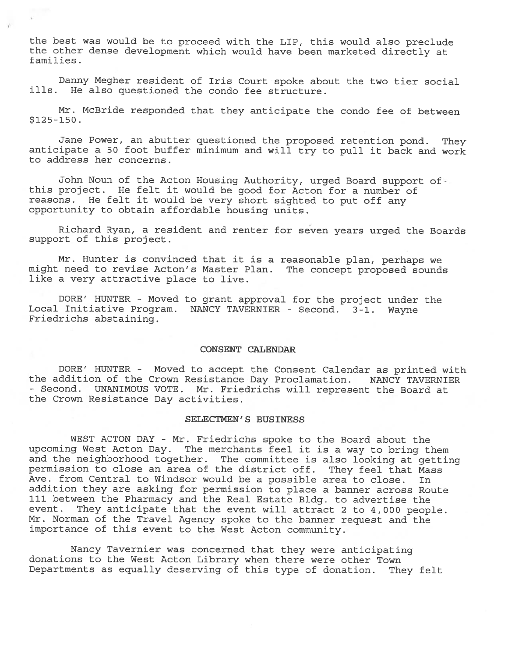the best was would be to procee<sup>d</sup> with the LIP, this would also preclude the other dense development which would have been marketed directly at families.

Danny Megher resident of Iris Court spoke about the two tier social ills. He also questioned the condo fee structure.

Mr. McBride responded that they anticipate the condo fee of between  $$125-150.$ 

Jane Power, an abutter questioned the propose<sup>d</sup> retention pond. They anticipate a 50 foot buffer minimum and will try to pull it back and work to address her concerns.

John Noun of the Acton Housing Authority, urged Board support of this project. He felt it would be good for Acton for <sup>a</sup> number of reasons. He felt it would be very short sighted to pu<sup>t</sup> off any opportunity to obtain affordable housing units.

Richard Ryan, <sup>a</sup> resident and renter for seven years urge<sup>d</sup> the Boards suppor<sup>t</sup> of this project.

Mr. Hunter is convinced that it is <sup>a</sup> reasonable <sup>p</sup>lan, perhaps we might need to revise Acton's Master Plan. The concep<sup>t</sup> propose<sup>d</sup> sounds like <sup>a</sup> very attractive <sup>p</sup>lace to live.

DORE' HUNTER - Moved to gran<sup>t</sup> approva<sup>l</sup> for the project under the Local Initiative Program. NANCY TAVERNIER - Second. 3-1. wayne Friedrichs abstaining.

### CONSENT CALENDAR

DORE' HUNTER - Moved to accep<sup>t</sup> the Consent Calendar as printed with the addition of the Crown Resistance Day Proclamation. NANCY TAVERNIER - Second. UNANIMOUS VOTE. Mr. Friedrichs will represen<sup>t</sup> the Board at the Crown Resistance Day activities.

### SELECTMEN'S BUSINESS

WEST ACTON DAY - Mr. Friedrichs spoke to the Board about the upcoming West Acton Day. The merchants feel it is <sup>a</sup> way to bring them and the neighborhood together. The committee is also looking at getting permission to close an area of the district off. They feel that Mass Ave. from Central to Windsor would be <sup>a</sup> possible area to close. In addition they are asking for permission to <sup>p</sup>lace <sup>a</sup> banner across Route <sup>111</sup> between the Pharmacy and the Real Estate Bldg. to advertise the event. They anticipate that the event will attract <sup>2</sup> to 4,000 people. Mr. Norman of the Travel Agency spoke to the banner reques<sup>t</sup> and the importance of this event to the West Acton community.

Nancy Tavernier was concerned that they were anticipating donations to the West Acton Library when there were other Town Departments as equally deserving of this type of donation. They felt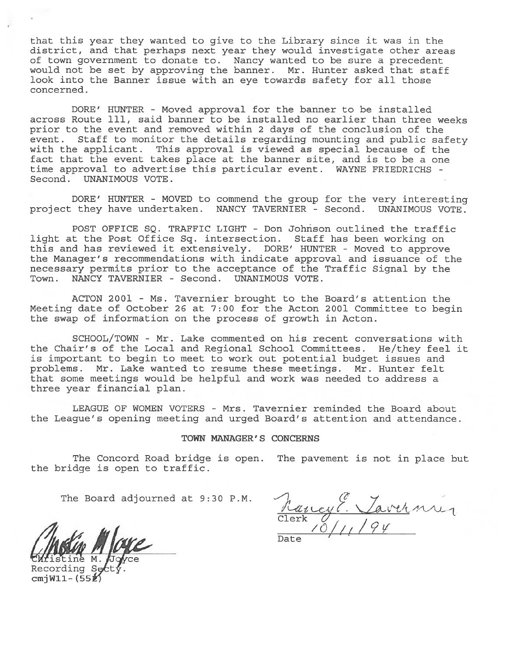that this year they wanted to give to the Library since it was in the district, and that perhaps next year they would investigate other areas of town governmen<sup>t</sup> to donate to. Nancy wanted to be sure <sup>a</sup> precedent would not be set by approving the banner. Mr. Hunter asked that staff look into the Banner issue with an eye towards safety for all those concerned.

DORE' HUNTER - Moved approval for the banner to be installed across Route 111, said banner to be installed no earlier than three weeks prior to the event and removed within 2 days of the conclusion of the event. Staff to monitor the details regarding mounting and public safety with the applicant. This approval is viewed as special because of the fact that the event takes place at the banner site, and is to be <sup>a</sup> one time approval to advertise this particular event. WAYNE FRIEDRICHS - Second. UNANIMOUS VOTE. itat this year they wanted to give to the Library since it wising that<br>district, and that perhaps mere year they would investigate<br>of from government to donate to. Nancy wanted to be sure a<br>solid not be set by approving t

DORE' HUNTER - MOVED to commend the group for the very interesting project they have undertaken. NANCY TAVERNIER - Second. UNANIMOUS VOTE.

POST OFFICE SQ. TRAFFIC LIGHT - Don Johnson outlined the traffic light at the Post Office Sq. intersection. Staff has been working on this and has reviewed it extensively. DORE' HUNTER - Moved to approve the Manager's recommendations with indicate approval and issuance of the necessary permits prior to the acceptance of the Traffic Signal by the Town. NANCY TAVERNIER - Second. UNANIMOUS VOTE.

ACTON 2001 - Ms. Tavernier brought to the Board's attention the Meeting date of October 26 at 7:00 for the Acton 2001 Committee to begin the swap of information on the process of growth in Acton.

SCHOOL/TOWN - Mr. Lake commented on his recent conversations with the Chair's of the Local and Regional School Committees. He/they feel it is important to begin to meet to work out potential budget issues and problems. Mr. Lake wanted to resume these meetings. Mr. Hunter felt that some meetings would be helpful and work was needed to address <sup>a</sup> three year financial plan.

LEAGUE OF WOMEN VOTERS - Mrs. Tavernier reminded the Board about the League's opening meeting and urged Board's attention and attendance.

#### TOWN MANAGER' S CONCERNS

The Concord Road bridge is open. The pavemen<sup>t</sup> is not in <sup>p</sup>lace but the bridge is open to traffic.

The Board adjourned at 9:30 P.M.

istine M.

Recording Se cmjW11- $(55<sup>2</sup>)$ 

 $\overline{\phantom{0}}$ Clerk  ${\mathscr O}$ Date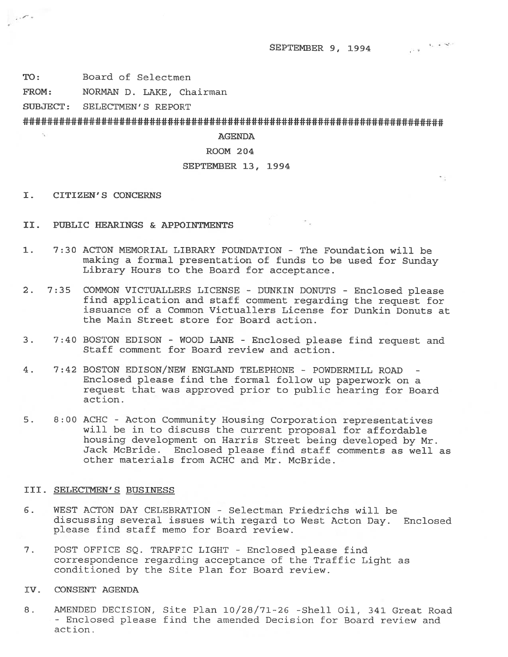ti.

TO: Board of Selectmen

, ,  $\sigma$  ,

FROM: NORMAN D. LAKE, Chairman

SUBJECT: SELECTMEN'S REPORT

## AGENDA

# ROOM 204

## SEPTEMBER 13, 1994

- I. CITIZEN'S CONCERNS
- II. PUBLIC HEARINGS & APPOINTMENTS
- 1. 7:30 ACTON MEMORIAL LIBRARY FOUNDATION The Foundation will be making <sup>a</sup> formal presentation of funds to be used for Sunday Library Hours to the Board for acceptance.
- 2. 7:35 COMMON VICTUALLERS LICENSE DUNKIN DONUTS Enclosed <sup>p</sup>lease find application and staff comment regarding the reques<sup>t</sup> for issuance of <sup>a</sup> Common Victuallers License for Dunkin Donuts at the Main Street store for Board action.
- 3. 7:40 BOSTON EDISON WOOD LANE Enclosed <sup>p</sup>lease find reques<sup>t</sup> and Staff comment for Board review and action.
- 4. 7:42 BOSTON EDISON/NEW ENGLAND TELEPHONE POWDERMILL ROAD Enclosed <sup>p</sup>lease find the formal follow up paperwor<sup>k</sup> on <sup>a</sup> reques<sup>t</sup> that was approved prior to public hearing for Board action.
- 5. 8:00 ACHC Acton Community Housing Corporation representatives will be in to discuss the current proposal for affordable housing development on Harris Street being developed by Mr. Jack McBride. Enclosed please find staff comments as well as other materials from ACHC and Mr. McBride.

#### III. SELECTMEN'S BUSINESS

- 6. WEST ACTON DAY CELEBRATION Selectman Friedrichs will be discussing several issues with regar<sup>d</sup> to West Acton Day. Enclosed please find staff memo for Board review.
- 7. POST OFFICE SQ. TRAFFIC LIGHT -Enclosed please find correspondence regarding acceptance of the Traffic Light as conditioned by the Site Plan for Board review.
- IV. CONSENT AGENDA
- 8. AMENDED DECISION, Site Plan 10/28/71-26 -Shell Oil, 341 Great Road - Enclosed please find the amended Decision for Board review and action.